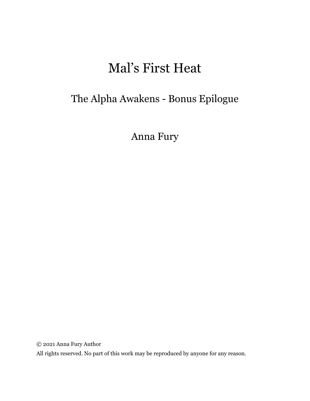# Mal's First Heat

## The Alpha Awakens - Bonus Epilogue

Anna Fury

© 2021 Anna Fury Author

All rights reserved. No part of this work may be reproduced by anyone for any reason.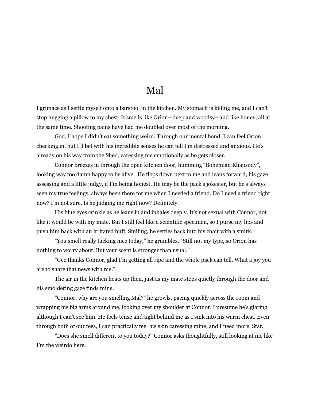### Mal

I grimace as I settle myself onto a barstool in the kitchen. My stomach is killing me, and I can't stop hugging a pillow to my chest. It smells like Orion—deep and woodsy—and like honey, all at the same time. Shooting pains have had me doubled over most of the morning.

God, I hope I didn't eat something weird. Through our mental bond, I can feel Orion checking in, but I'll bet with his incredible senses he can tell I'm distressed and anxious. He's already on his way from the Shed, caressing me emotionally as he gets closer.

Connor breezes in through the open kitchen door, humming "Bohemian Rhapsody", looking way too damn happy to be alive. He flops down next to me and leans forward, his gaze assessing and a little judgy, if I'm being honest. He may be the pack's jokester, but he's always seen my true feelings, always been there for me when I needed a friend. Do I need a friend right now? I'm not sure. Is he judging me right now? Definitely.

His blue eyes crinkle as he leans in and inhales deeply. It's not sexual with Connor, not like it would be with my mate. But I still feel like a scientific specimen, so I purse my lips and push him back with an irritated huff. Smiling, he settles back into his chair with a smirk.

"You smell really fucking nice today," he grumbles. "Still not my type, so Orion has nothing to worry about. But your scent is stronger than usual."

"Gee thanks Connor, glad I'm getting all ripe and the whole pack can tell. What a joy you are to share that news with me."

The air in the kitchen heats up then, just as my mate steps quietly through the door and his smoldering gaze finds mine.

"Connor, why are you smelling Mal?" he growls, pacing quickly across the room and wrapping his big arms around me, looking over my shoulder at Connor. I presume he's glaring, although I can't see him. He feels tense and tight behind me as I sink into his warm chest. Even through both of our tees, I can practically feel his skin caressing mine, and I need more. Stat.

"Does she smell different to you today?" Connor asks thoughtfully, still looking at me like I'm the weirdo here.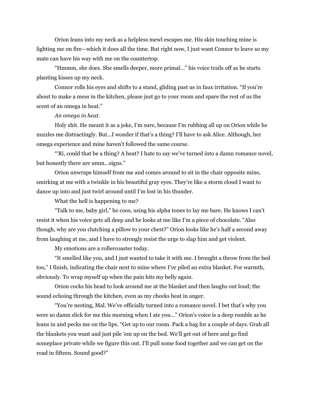Orion leans into my neck as a helpless mewl escapes me. His skin touching mine is lighting me on fire—which it does all the time. But right now, I just want Connor to leave so my mate can have his way with me on the countertop.

"Hmmm, she does. She smells deeper, more primal…" his voice trails off as he starts planting kisses up my neck.

Connor rolls his eyes and shifts to a stand, gliding past us in faux irritation. "If you're about to make a mess in the kitchen, please just go to your room and spare the rest of us the scent of an omega in heat."

*An omega in heat.*

Holy shit. He meant it as a joke, I'm sure, because I'm rubbing all up on Orion while he nuzzles me distractingly. But...I wonder if that's a thing? I'll have to ask Alice. Although, her omega experience and mine haven't followed the same course.

"'Ri, could that be a thing? A heat? I hate to say we've turned into a damn romance novel, but honestly there are umm...signs."

Orion unwraps himself from me and comes around to sit in the chair opposite mine, smirking at me with a twinkle in his beautiful gray eyes. They're like a storm cloud I want to dance up into and just twirl around until I'm lost in his thunder.

What the hell is happening to me?

"Talk to me, baby girl," he coos, using his alpha tones to lay me bare. He knows I can't resist it when his voice gets all deep and he looks at me like I'm a piece of chocolate. "Also though, why are you clutching a pillow to your chest?" Orion looks like he's half a second away from laughing at me, and I have to strongly resist the urge to slap him and get violent.

My emotions are a rollercoaster today.

"It smelled like you, and I just wanted to take it with me. I brought a throw from the bed too," I finish, indicating the chair next to mine where I've piled an extra blanket. For warmth, obviously. To wrap myself up when the pain hits my belly again.

Orion cocks his head to look around me at the blanket and then laughs out loud; the sound echoing through the kitchen, even as my cheeks heat in anger.

"You're nesting, Mal. We've officially turned into a romance novel. I bet that's why you were so damn slick for me this morning when I ate you..." Orion's voice is a deep rumble as he leans in and pecks me on the lips. "Get up to our room. Pack a bag for a couple of days. Grab all the blankets you want and just pile 'em up on the bed. We'll get out of here and go find someplace private while we figure this out. I'll pull some food together and we can get on the road in fifteen. Sound good?"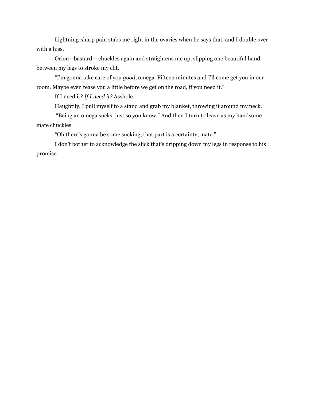Lightning-sharp pain stabs me right in the ovaries when he says that, and I double over with a hiss.

Orion—bastard— chuckles again and straightens me up, slipping one beautiful hand between my legs to stroke my clit.

"I'm gonna take care of you *good*, omega. Fifteen minutes and I'll come get you in our room. Maybe even tease you a little before we get on the road, if you need it."

If I need it? *If I need it?* Asshole.

Haughtily, I pull myself to a stand and grab my blanket, throwing it around my neck.

"Being an omega sucks, just so you know." And then I turn to leave as my handsome mate chuckles.

"Oh there's gonna be some sucking, that part is a certainty, mate."

I don't bother to acknowledge the slick that's dripping down my legs in response to his promise.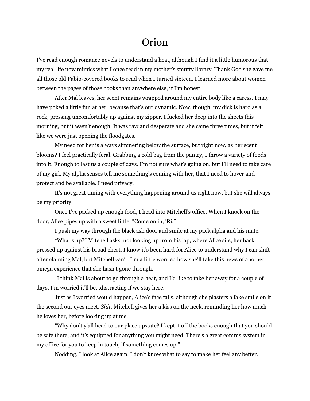### Orion

I've read enough romance novels to understand a heat, although I find it a little humorous that my real life now mimics what I once read in my mother's smutty library. Thank God she gave me all those old Fabio-covered books to read when I turned sixteen. I learned more about women between the pages of those books than anywhere else, if I'm honest.

After Mal leaves, her scent remains wrapped around my entire body like a caress. I may have poked a little fun at her, because that's our dynamic. Now, though, my dick is hard as a rock, pressing uncomfortably up against my zipper. I fucked her deep into the sheets this morning, but it wasn't enough. It was raw and desperate and she came three times, but it felt like we were just opening the floodgates.

My need for her is always simmering below the surface, but right now, as her scent blooms? I feel practically feral. Grabbing a cold bag from the pantry, I throw a variety of foods into it. Enough to last us a couple of days. I'm not sure what's going on, but I'll need to take care of my girl. My alpha senses tell me something's coming with her, that I need to hover and protect and be available. I need privacy.

It's not great timing with everything happening around us right now, but she will always be my priority.

Once I've packed up enough food, I head into Mitchell's office. When I knock on the door, Alice pipes up with a sweet little, "Come on in, 'Ri."

I push my way through the black ash door and smile at my pack alpha and his mate.

"What's up?" Mitchell asks, not looking up from his lap, where Alice sits, her back pressed up against his broad chest. I know it's been hard for Alice to understand why I can shift after claiming Mal, but Mitchell can't. I'm a little worried how she'll take this news of another omega experience that she hasn't gone through.

"I think Mal is about to go through a heat, and I'd like to take her away for a couple of days. I'm worried it'll be...distracting if we stay here."

Just as I worried would happen, Alice's face falls, although she plasters a fake smile on it the second our eyes meet. *Shit*. Mitchell gives her a kiss on the neck, reminding her how much he loves her, before looking up at me.

"Why don't y'all head to our place upstate? I kept it off the books enough that you should be safe there, and it's equipped for anything you might need. There's a great comms system in my office for you to keep in touch, if something comes up."

Nodding, I look at Alice again. I don't know what to say to make her feel any better.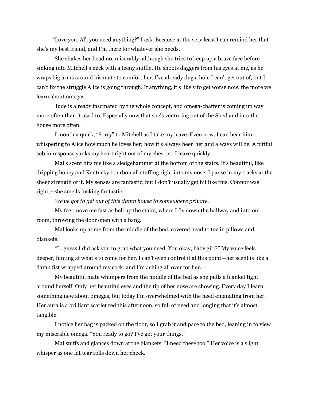"Love you, Al', you need anything?" I ask. Because at the very least I can remind her that she's my best friend, and I'm there for whatever she needs.

She shakes her head no, miserably, although she tries to keep up a brave face before sinking into Mitchell's neck with a teeny sniffle. He shoots daggers from his eyes at me, as he wraps big arms around his mate to comfort her. I've already dug a hole I can't get out of, but I can't fix the struggle Alice is going through. If anything, it's likely to get worse now, the more we learn about omegas.

Jude is already fascinated by the whole concept, and omega-chatter is coming up way more often than it used to. Especially now that she's venturing out of the Shed and into the house more often.

I mouth a quick, "Sorry" to Mitchell as I take my leave. Even now, I can hear him whispering to Alice how much he loves her; how it's always been her and always will be. A pitiful sob in response yanks my heart right out of my chest, so I leave quickly.

Mal's scent hits me like a sledgehammer at the bottom of the stairs. It's beautiful, like dripping honey and Kentucky bourbon all stuffing right into my nose. I pause in my tracks at the sheer strength of it. My senses are fantastic, but I don't usually get hit like this. Connor was right,—she smells fucking fantastic.

*We've got to get out of this damn house to somewhere private.*

My feet move me fast as hell up the stairs, where I fly down the hallway and into our room, throwing the door open with a bang.

Mal looks up at me from the middle of the bed, covered head to toe in pillows and blankets.

"I...guess I did ask you to grab what you need. You okay, baby girl?" My voice feels deeper, hinting at what's to come for her. I can't even control it at this point—her scent is like a damn fist wrapped around my cock, and I'm aching all over for her.

My beautiful mate whimpers from the middle of the bed as she pulls a blanket tight around herself. Only her beautiful eyes and the tip of her nose are showing. Every day I learn something new about omegas, but today I'm overwhelmed with the need emanating from her. Her aura is a brilliant scarlet red this afternoon, so full of need and longing that it's almost tangible.

I notice her bag is packed on the floor, so I grab it and pace to the bed, leaning in to view my miserable omega. "You ready to go? I've got your things."

Mal sniffs and glances down at the blankets. "I need these too." Her voice is a slight whisper as one fat tear rolls down her cheek.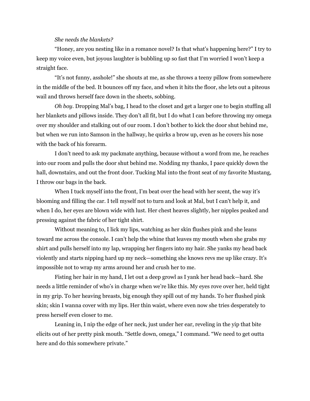#### *She needs the blankets?*

"Honey, are you nesting like in a romance novel? Is that what's happening here?" I try to keep my voice even, but joyous laughter is bubbling up so fast that I'm worried I won't keep a straight face.

"It's not funny, asshole!" she shouts at me, as she throws a teeny pillow from somewhere in the middle of the bed. It bounces off my face, and when it hits the floor, she lets out a piteous wail and throws herself face down in the sheets, sobbing.

*Oh boy.* Dropping Mal's bag, I head to the closet and get a larger one to begin stuffing all her blankets and pillows inside. They don't all fit, but I do what I can before throwing my omega over my shoulder and stalking out of our room. I don't bother to kick the door shut behind me, but when we run into Samson in the hallway, he quirks a brow up, even as he covers his nose with the back of his forearm.

I don't need to ask my packmate anything, because without a word from me, he reaches into our room and pulls the door shut behind me. Nodding my thanks, I pace quickly down the hall, downstairs, and out the front door. Tucking Mal into the front seat of my favorite Mustang, I throw our bags in the back.

When I tuck myself into the front, I'm beat over the head with her scent, the way it's blooming and filling the car. I tell myself not to turn and look at Mal, but I can't help it, and when I do, her eyes are blown wide with lust. Her chest heaves slightly, her nipples peaked and pressing against the fabric of her tight shirt.

Without meaning to, I lick my lips, watching as her skin flushes pink and she leans toward me across the console. I can't help the whine that leaves my mouth when she grabs my shirt and pulls herself into my lap, wrapping her fingers into my hair. She yanks my head back violently and starts nipping hard up my neck—something she knows revs me up like crazy. It's impossible not to wrap my arms around her and crush her to me.

Fisting her hair in my hand, I let out a deep growl as I yank her head back—hard. She needs a little reminder of who's in charge when we're like this. My eyes rove over her, held tight in my grip. To her heaving breasts, big enough they spill out of my hands. To her flushed pink skin; skin I wanna cover with my lips. Her thin waist, where even now she tries desperately to press herself even closer to me.

Leaning in, I nip the edge of her neck, just under her ear, reveling in the yip that bite elicits out of her pretty pink mouth. "Settle down, omega," I command. "We need to get outta here and do this somewhere private."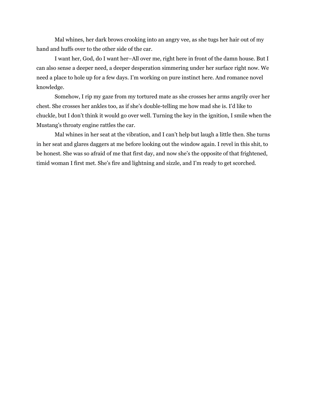Mal whines, her dark brows crooking into an angry vee, as she tugs her hair out of my hand and huffs over to the other side of the car.

I want her, God, do I want her–All over me, right here in front of the damn house. But I can also sense a deeper need, a deeper desperation simmering under her surface right now. We need a place to hole up for a few days. I'm working on pure instinct here. And romance novel knowledge.

Somehow, I rip my gaze from my tortured mate as she crosses her arms angrily over her chest. She crosses her ankles too, as if she's double-telling me how mad she is. I'd like to chuckle, but I don't think it would go over well. Turning the key in the ignition, I smile when the Mustang's throaty engine rattles the car.

Mal whines in her seat at the vibration, and I can't help but laugh a little then. She turns in her seat and glares daggers at me before looking out the window again. I revel in this shit, to be honest. She was so afraid of me that first day, and now she's the opposite of that frightened, timid woman I first met. She's fire and lightning and sizzle, and I'm ready to get scorched.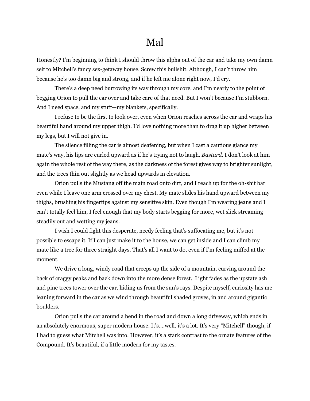### Mal

Honestly? I'm beginning to think I should throw this alpha out of the car and take my own damn self to Mitchell's fancy sex-getaway house. Screw this bullshit. Although, I can't throw him because he's too damn big and strong, and if he left me alone right now, I'd cry.

There's a deep need burrowing its way through my core, and I'm nearly to the point of begging Orion to pull the car over and take care of that need. But I won't because I'm stubborn. And I need space, and my stuff—my blankets, specifically.

I refuse to be the first to look over, even when Orion reaches across the car and wraps his beautiful hand around my upper thigh. I'd love nothing more than to drag it up higher between my legs, but I will not give in.

The silence filling the car is almost deafening, but when I cast a cautious glance my mate's way, his lips are curled upward as if he's trying not to laugh. *Bastard*. I don't look at him again the whole rest of the way there, as the darkness of the forest gives way to brighter sunlight, and the trees thin out slightly as we head upwards in elevation.

Orion pulls the Mustang off the main road onto dirt, and I reach up for the oh-shit bar even while I leave one arm crossed over my chest. My mate slides his hand upward between my thighs, brushing his fingertips against my sensitive skin. Even though I'm wearing jeans and I can't totally feel him, I feel enough that my body starts begging for more, wet slick streaming steadily out and wetting my jeans.

I wish I could fight this desperate, needy feeling that's suffocating me, but it's not possible to escape it. If I can just make it to the house, we can get inside and I can climb my mate like a tree for three straight days. That's all I want to do, even if I'm feeling miffed at the moment.

We drive a long, windy road that creeps up the side of a mountain, curving around the back of craggy peaks and back down into the more dense forest. Light fades as the upstate ash and pine trees tower over the car, hiding us from the sun's rays. Despite myself, curiosity has me leaning forward in the car as we wind through beautiful shaded groves, in and around gigantic boulders.

Orion pulls the car around a bend in the road and down a long driveway, which ends in an absolutely enormous, super modern house. It's….well, it's a lot. It's very "Mitchell" though, if I had to guess what Mitchell was into. However, it's a stark contrast to the ornate features of the Compound. It's beautiful, if a little modern for my tastes.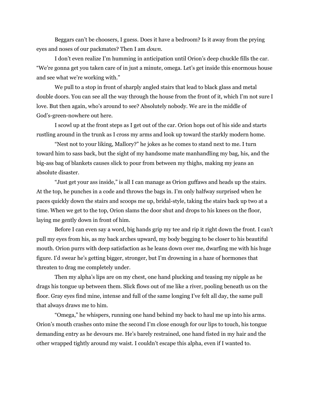Beggars can't be choosers, I guess. Does it have a bedroom? Is it away from the prying eyes and noses of our packmates? Then I am *down.*

I don't even realize I'm humming in anticipation until Orion's deep chuckle fills the car. "We're gonna get you taken care of in just a minute, omega. Let's get inside this enormous house and see what we're working with."

We pull to a stop in front of sharply angled stairs that lead to black glass and metal double doors. You can see all the way through the house from the front of it, which I'm not sure I love. But then again, who's around to see? Absolutely nobody. We are in the middle of God's-green-nowhere out here.

I scowl up at the front steps as I get out of the car. Orion hops out of his side and starts rustling around in the trunk as I cross my arms and look up toward the starkly modern home.

"Nest not to your liking, Mallory?" he jokes as he comes to stand next to me. I turn toward him to sass back, but the sight of my handsome mate manhandling my bag, his, and the big-ass bag of blankets causes slick to pour from between my thighs, making my jeans an absolute disaster.

"Just get your ass inside," is all I can manage as Orion guffaws and heads up the stairs. At the top, he punches in a code and throws the bags in. I'm only halfway surprised when he paces quickly down the stairs and scoops me up, bridal-style, taking the stairs back up two at a time. When we get to the top, Orion slams the door shut and drops to his knees on the floor, laying me gently down in front of him.

Before I can even say a word, big hands grip my tee and rip it right down the front. I can't pull my eyes from his, as my back arches upward, my body begging to be closer to his beautiful mouth. Orion purrs with deep satisfaction as he leans down over me, dwarfing me with his huge figure. I'd swear he's getting bigger, stronger, but I'm drowning in a haze of hormones that threaten to drag me completely under.

Then my alpha's lips are on my chest, one hand plucking and teasing my nipple as he drags his tongue up between them. Slick flows out of me like a river, pooling beneath us on the floor. Gray eyes find mine, intense and full of the same longing I've felt all day, the same pull that always draws me to him.

"Omega," he whispers, running one hand behind my back to haul me up into his arms. Orion's mouth crashes onto mine the second I'm close enough for our lips to touch, his tongue demanding entry as he devours me. He's barely restrained, one hand fisted in my hair and the other wrapped tightly around my waist. I couldn't escape this alpha, even if I wanted to.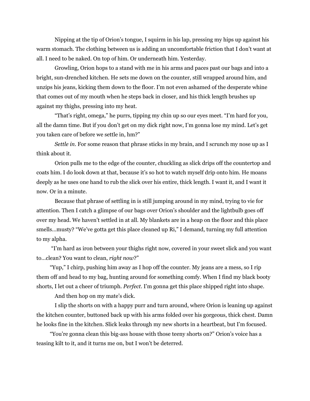Nipping at the tip of Orion's tongue, I squirm in his lap, pressing my hips up against his warm stomach. The clothing between us is adding an uncomfortable friction that I don't want at all. I need to be naked. On top of him. Or underneath him. Yesterday.

Growling, Orion hops to a stand with me in his arms and paces past our bags and into a bright, sun-drenched kitchen. He sets me down on the counter, still wrapped around him, and unzips his jeans, kicking them down to the floor. I'm not even ashamed of the desperate whine that comes out of my mouth when he steps back in closer, and his thick length brushes up against my thighs, pressing into my heat.

"That's right, omega," he purrs, tipping my chin up so our eyes meet. "I'm hard for you, all the damn time. But if you don't get on my dick right now, I'm gonna lose my mind. Let's get you taken care of before we settle in, hm?"

*Settle in*. For some reason that phrase sticks in my brain, and I scrunch my nose up as I think about it.

Orion pulls me to the edge of the counter, chuckling as slick drips off the countertop and coats him. I do look down at that, because it's so hot to watch myself drip onto him. He moans deeply as he uses one hand to rub the slick over his entire, thick length. I want it, and I want it now. Or in a minute.

Because that phrase of settling in is still jumping around in my mind, trying to vie for attention. Then I catch a glimpse of our bags over Orion's shoulder and the lightbulb goes off over my head. We haven't settled in at all. My blankets are in a heap on the floor and this place smells…musty? "We've gotta get this place cleaned up Ri," I demand, turning my full attention to my alpha.

"I'm hard as iron between your thighs right now, covered in your sweet slick and you want to…clean? You want to clean, *right now*?"

"Yup," I chirp, pushing him away as I hop off the counter. My jeans are a mess, so I rip them off and head to my bag, hunting around for something comfy. When I find my black booty shorts, I let out a cheer of triumph. *Perfect*. I'm gonna get this place shipped right into shape.

And then hop on my mate's dick.

I slip the shorts on with a happy purr and turn around, where Orion is leaning up against the kitchen counter, buttoned back up with his arms folded over his gorgeous, thick chest. Damn he looks fine in the kitchen. Slick leaks through my new shorts in a heartbeat, but I'm focused.

"You're gonna clean this big-ass house with those teeny shorts on?" Orion's voice has a teasing kilt to it, and it turns me on, but I won't be deterred.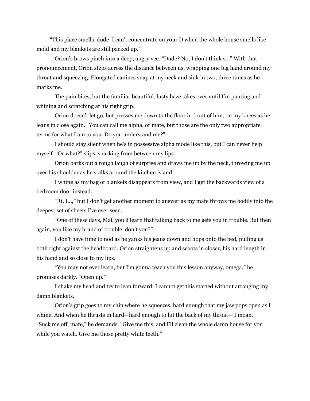"This place smells, dude. I can't concentrate on your D when the whole house smells like mold and my blankets are still packed up."

Orion's brows pinch into a deep, angry vee. "Dude? No, I don't think so." With that pronouncement, Orion steps across the distance between us, wrapping one big hand around my throat and squeezing. Elongated canines snap at my neck and sink in two, three times as he marks me.

The pain bites, but the familiar beautiful, lusty haze takes over until I'm panting and whining and scratching at his right grip.

Orion doesn't let go, but presses me down to the floor in front of him, on my knees as he leans in close again. "You can call me alpha, or mate, but those are the only two appropriate terms for what I am to you. Do you understand me?"

I should stay silent when he's in possessive alpha mode like this, but I can never help myself. "Or what?" slips, snarking from between my lips.

Orion barks out a rough laugh of surprise and draws me up by the neck, throwing me up over his shoulder as he stalks around the kitchen island.

I whine as my bag of blankets disappears from view, and I get the backwards view of a bedroom door instead.

"Ri, I…," but I don't get another moment to answer as my mate throws me bodily into the deepest set of sheets I've ever seen.

"One of these days, Mal, you'll learn that talking back to me gets you in trouble. But then again, you like my brand of trouble, don't you?"

I don't have time to nod as he yanks his jeans down and hops onto the bed, pulling us both right against the headboard. Orion straightens up and scoots in closer, his hard length in his hand and so close to my lips.

"You may not ever learn, but I'm gonna teach you this lesson anyway, omega," he promises darkly. "Open up."

I shake my head and try to lean forward. I cannot get this started without arranging my damn blankets.

Orion's grip goes to my chin where he squeezes, hard enough that my jaw pops open as I whine. And when he thrusts in hard—hard enough to hit the back of my throat— I moan. "Suck me off, mate," he demands. "Give me this, and I'll clean the whole damn house for you while you watch. Give me those pretty white teeth."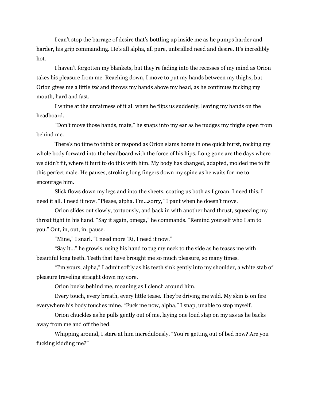I can't stop the barrage of desire that's bottling up inside me as he pumps harder and harder, his grip commanding. He's all alpha, all pure, unbridled need and desire. It's incredibly hot.

I haven't forgotten my blankets, but they're fading into the recesses of my mind as Orion takes his pleasure from me. Reaching down, I move to put my hands between my thighs, but Orion gives me a little *tsk* and throws my hands above my head, as he continues fucking my mouth, hard and fast.

I whine at the unfairness of it all when he flips us suddenly, leaving my hands on the headboard.

"Don't move those hands, mate," he snaps into my ear as he nudges my thighs open from behind me.

There's no time to think or respond as Orion slams home in one quick burst, rocking my whole body forward into the headboard with the force of his hips. Long gone are the days where we didn't fit, where it hurt to do this with him. My body has changed, adapted, molded me to fit this perfect male. He pauses, stroking long fingers down my spine as he waits for me to encourage him.

Slick flows down my legs and into the sheets, coating us both as I groan. I need this, I need it all. I need it now. "Please, alpha. I'm...sorry," I pant when he doesn't move.

Orion slides out slowly, tortuously, and back in with another hard thrust, squeezing my throat tight in his hand. "Say it again, omega," he commands. "Remind yourself who I am to you." Out, in, out, in, pause.

"Mine," I snarl. "I need more 'Ri, I need it now."

"Say it…" he growls, using his hand to tug my neck to the side as he teases me with beautiful long teeth. Teeth that have brought me so much pleasure, so many times.

"I'm yours, alpha," I admit softly as his teeth sink gently into my shoulder, a white stab of pleasure traveling straight down my core.

Orion bucks behind me, moaning as I clench around him.

Every touch, every breath, every little tease. They're driving me wild. My skin is on fire everywhere his body touches mine. "Fuck me now, alpha," I snap, unable to stop myself.

Orion chuckles as he pulls gently out of me, laying one loud slap on my ass as he backs away from me and off the bed.

Whipping around, I stare at him incredulously. "You're getting out of bed now? Are you fucking kidding me?"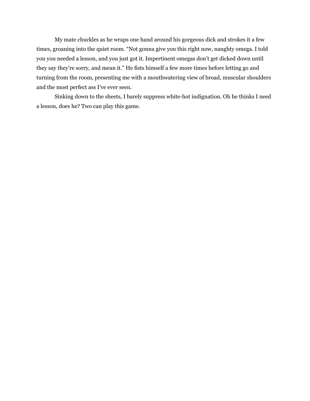My mate chuckles as he wraps one hand around his gorgeous dick and strokes it a few times, groaning into the quiet room. "Not gonna give you this right now, naughty omega. I told you you needed a lesson, and you just got it. Impertinent omegas don't get dicked down until they say they're sorry, and mean it." He fists himself a few more times before letting go and turning from the room, presenting me with a mouthwatering view of broad, muscular shoulders and the most perfect ass I've ever seen.

Sinking down to the sheets, I barely suppress white-hot indignation. Oh he thinks I need a lesson, does he? Two can play this game.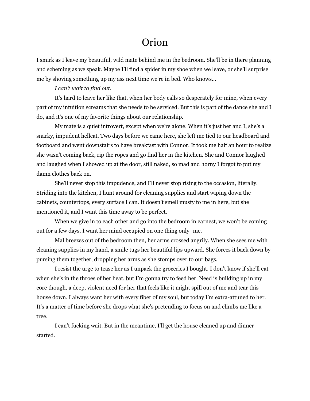### Orion

I smirk as I leave my beautiful, wild mate behind me in the bedroom. She'll be in there planning and scheming as we speak. Maybe I'll find a spider in my shoe when we leave, or she'll surprise me by shoving something up my ass next time we're in bed. Who knows…

*I can't wait to find out.*

It's hard to leave her like that, when her body calls so desperately for mine, when every part of my intuition screams that she needs to be serviced. But this is part of the dance she and I do, and it's one of my favorite things about our relationship.

My mate is a quiet introvert, except when we're alone. When it's just her and I, she's a snarky, impudent hellcat. Two days before we came here, she left me tied to our headboard and footboard and went downstairs to have breakfast with Connor. It took me half an hour to realize she wasn't coming back, rip the ropes and go find her in the kitchen. She and Connor laughed and laughed when I showed up at the door, still naked, so mad and horny I forgot to put my damn clothes back on.

She'll never stop this impudence, and I'll never stop rising to the occasion, literally. Striding into the kitchen, I hunt around for cleaning supplies and start wiping down the cabinets, countertops, every surface I can. It doesn't smell musty to me in here, but she mentioned it, and I want this time away to be perfect.

When we give in to each other and go into the bedroom in earnest, we won't be coming out for a few days. I want her mind occupied on one thing only–me.

Mal breezes out of the bedroom then, her arms crossed angrily. When she sees me with cleaning supplies in my hand, a smile tugs her beautiful lips upward. She forces it back down by pursing them together, dropping her arms as she stomps over to our bags.

I resist the urge to tease her as I unpack the groceries I bought. I don't know if she'll eat when she's in the throes of her heat, but I'm gonna try to feed her. Need is building up in my core though, a deep, violent need for her that feels like it might spill out of me and tear this house down. I always want her with every fiber of my soul, but today I'm extra-attuned to her. It's a matter of time before she drops what she's pretending to focus on and climbs me like a tree.

I can't fucking wait. But in the meantime, I'll get the house cleaned up and dinner started.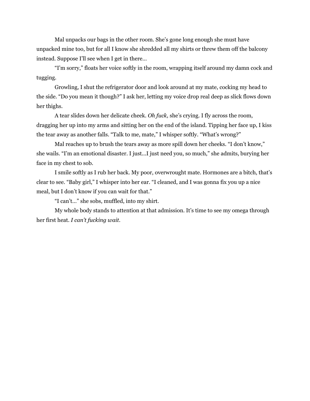Mal unpacks our bags in the other room. She's gone long enough she must have unpacked mine too, but for all I know she shredded all my shirts or threw them off the balcony instead. Suppose I'll see when I get in there…

"I'm sorry," floats her voice softly in the room, wrapping itself around my damn cock and tugging.

Growling, I shut the refrigerator door and look around at my mate, cocking my head to the side. "Do you mean it though?" I ask her, letting my voice drop real deep as slick flows down her thighs.

A tear slides down her delicate cheek. *Oh fuck,* she's crying. I fly across the room, dragging her up into my arms and sitting her on the end of the island. Tipping her face up, I kiss the tear away as another falls. "Talk to me, mate," I whisper softly. "What's wrong?"

Mal reaches up to brush the tears away as more spill down her cheeks. "I don't know," she wails. "I'm an emotional disaster. I just...I just need you, so much," she admits, burying her face in my chest to sob.

I smile softly as I rub her back. My poor, overwrought mate. Hormones are a bitch, that's clear to see. "Baby girl," I whisper into her ear. "I cleaned, and I was gonna fix you up a nice meal, but I don't know if you can wait for that."

"I can't…" she sobs, muffled, into my shirt.

My whole body stands to attention at that admission. It's time to see my omega through her first heat. *I can't fucking wait.*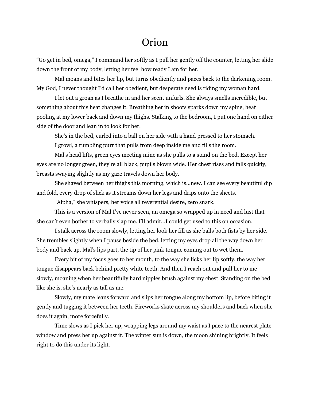### Orion

"Go get in bed, omega," I command her softly as I pull her gently off the counter, letting her slide down the front of my body, letting her feel how ready I am for her.

Mal moans and bites her lip, but turns obediently and paces back to the darkening room. My God, I never thought I'd call her obedient, but desperate need is riding my woman hard.

I let out a groan as I breathe in and her scent unfurls. She always smells incredible, but something about this heat changes it. Breathing her in shoots sparks down my spine, heat pooling at my lower back and down my thighs. Stalking to the bedroom, I put one hand on either side of the door and lean in to look for her.

She's in the bed, curled into a ball on her side with a hand pressed to her stomach.

I growl, a rumbling purr that pulls from deep inside me and fills the room.

Mal's head lifts, green eyes meeting mine as she pulls to a stand on the bed. Except her eyes are no longer green, they're all black, pupils blown wide. Her chest rises and falls quickly, breasts swaying slightly as my gaze travels down her body.

She shaved between her thighs this morning, which is...new. I can see every beautiful dip and fold, every drop of slick as it streams down her legs and drips onto the sheets.

"Alpha," she whispers, her voice all reverential desire, zero snark.

This is a version of Mal I've never seen, an omega so wrapped up in need and lust that she can't even bother to verbally slap me. I'll admit...I could get used to this on occasion.

I stalk across the room slowly, letting her look her fill as she balls both fists by her side. She trembles slightly when I pause beside the bed, letting my eyes drop all the way down her body and back up. Mal's lips part, the tip of her pink tongue coming out to wet them.

Every bit of my focus goes to her mouth, to the way she licks her lip softly, the way her tongue disappears back behind pretty white teeth. And then I reach out and pull her to me slowly, moaning when her beautifully hard nipples brush against my chest. Standing on the bed like she is, she's nearly as tall as me.

Slowly, my mate leans forward and slips her tongue along my bottom lip, before biting it gently and tugging it between her teeth. Fireworks skate across my shoulders and back when she does it again, more forcefully.

Time slows as I pick her up, wrapping legs around my waist as I pace to the nearest plate window and press her up against it. The winter sun is down, the moon shining brightly. It feels right to do this under its light.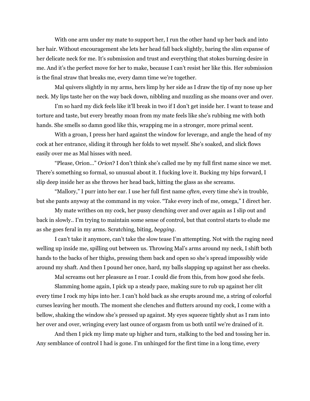With one arm under my mate to support her, I run the other hand up her back and into her hair. Without encouragement she lets her head fall back slightly, baring the slim expanse of her delicate neck for me. It's submission and trust and everything that stokes burning desire in me. And it's the perfect move for her to make, because I can't resist her like this. Her submission is the final straw that breaks me, every damn time we're together.

Mal quivers slightly in my arms, hers limp by her side as I draw the tip of my nose up her neck. My lips taste her on the way back down, nibbling and nuzzling as she moans over and over.

I'm so hard my dick feels like it'll break in two if I don't get inside her. I want to tease and torture and taste, but every breathy moan from my mate feels like she's rubbing me with both hands. She smells so damn good like this, wrapping me in a stronger, more primal scent.

With a groan, I press her hard against the window for leverage, and angle the head of my cock at her entrance, sliding it through her folds to wet myself. She's soaked, and slick flows easily over me as Mal hisses with need.

"Please, Orion…" *Orion*? I don't think she's called me by my full first name since we met. There's something so formal, so unusual about it. I fucking love it. Bucking my hips forward, I slip deep inside her as she throws her head back, hitting the glass as she screams.

"Mallory," I purr into her ear. I use her full first name *often*, every time she's in trouble, but she pants anyway at the command in my voice. "Take every inch of me, omega," I direct her.

My mate writhes on my cock, her pussy clenching over and over again as I slip out and back in slowly.. I'm trying to maintain some sense of control, but that control starts to elude me as she goes feral in my arms. Scratching, biting, *begging*.

I can't take it anymore, can't take the slow tease I'm attempting. Not with the raging need welling up inside me, spilling out between us. Throwing Mal's arms around my neck, I shift both hands to the backs of her thighs, pressing them back and open so she's spread impossibly wide around my shaft. And then I pound her once, hard, my balls slapping up against her ass cheeks.

Mal screams out her pleasure as I roar. I could die from this, from how good she feels.

Slamming home again, I pick up a steady pace, making sure to rub up against her clit every time I rock my hips into her. I can't hold back as she erupts around me, a string of colorful curses leaving her mouth. The moment she clenches and flutters around my cock, I come with a bellow, shaking the window she's pressed up against. My eyes squeeze tightly shut as I ram into her over and over, wringing every last ounce of orgasm from us both until we're drained of it.

And then I pick my limp mate up higher and turn, stalking to the bed and tossing her in. Any semblance of control I had is gone. I'm unhinged for the first time in a long time, every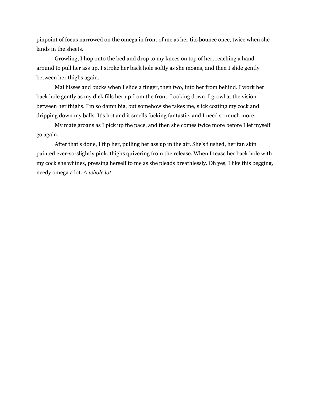pinpoint of focus narrowed on the omega in front of me as her tits bounce once, twice when she lands in the sheets.

Growling, I hop onto the bed and drop to my knees on top of her, reaching a hand around to pull her ass up. I stroke her back hole softly as she moans, and then I slide gently between her thighs again.

Mal hisses and bucks when I slide a finger, then two, into her from behind. I work her back hole gently as my dick fills her up from the front. Looking down, I growl at the vision between her thighs. I'm so damn big, but somehow she takes me, slick coating my cock and dripping down my balls. It's hot and it smells fucking fantastic, and I need so much more.

My mate groans as I pick up the pace, and then she comes twice more before I let myself go again.

After that's done, I flip her, pulling her ass up in the air. She's flushed, her tan skin painted ever-so-slightly pink, thighs quivering from the release. When I tease her back hole with my cock she whines, pressing herself to me as she pleads breathlessly. Oh yes, I like this begging, needy omega a lot. *A whole lot.*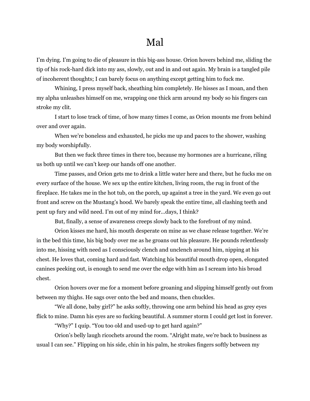### Mal

I'm dying. I'm going to die of pleasure in this big-ass house. Orion hovers behind me, sliding the tip of his rock-hard dick into my ass, slowly, out and in and out again. My brain is a tangled pile of incoherent thoughts; I can barely focus on anything except getting him to fuck me.

Whining, I press myself back, sheathing him completely. He hisses as I moan, and then my alpha unleashes himself on me, wrapping one thick arm around my body so his fingers can stroke my clit.

I start to lose track of time, of how many times I come, as Orion mounts me from behind over and over again.

When we're boneless and exhausted, he picks me up and paces to the shower, washing my body worshipfully.

But then we fuck three times in there too, because my hormones are a hurricane, riling us both up until we can't keep our hands off one another.

Time passes, and Orion gets me to drink a little water here and there, but he fucks me on every surface of the house. We sex up the entire kitchen, living room, the rug in front of the fireplace. He takes me in the hot tub, on the porch, up against a tree in the yard. We even go out front and screw on the Mustang's hood. We barely speak the entire time, all clashing teeth and pent up fury and wild need. I'm out of my mind for...days, I think?

But, finally, a sense of awareness creeps slowly back to the forefront of my mind.

Orion kisses me hard, his mouth desperate on mine as we chase release together. We're in the bed this time, his big body over me as he groans out his pleasure. He pounds relentlessly into me, hissing with need as I consciously clench and unclench around him, nipping at his chest. He loves that, coming hard and fast. Watching his beautiful mouth drop open, elongated canines peeking out, is enough to send me over the edge with him as I scream into his broad chest.

Orion hovers over me for a moment before groaning and slipping himself gently out from between my thighs. He sags over onto the bed and moans, then chuckles.

"We all done, baby girl?" he asks softly, throwing one arm behind his head as grey eyes flick to mine. Damn his eyes are so fucking beautiful. A summer storm I could get lost in forever.

"Why?" I quip. "You too old and used-up to get hard again?"

Orion's belly laugh ricochets around the room. "Alright mate, we're back to business as usual I can see." Flipping on his side, chin in his palm, he strokes fingers softly between my